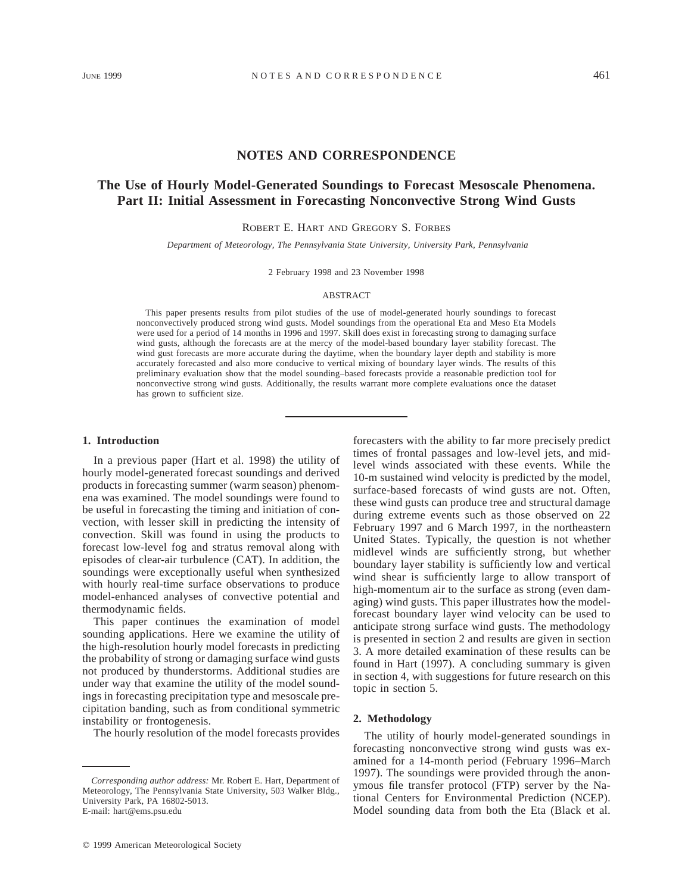## **NOTES AND CORRESPONDENCE**

# **The Use of Hourly Model-Generated Soundings to Forecast Mesoscale Phenomena. Part II: Initial Assessment in Forecasting Nonconvective Strong Wind Gusts**

ROBERT E. HART AND GREGORY S. FORBES

*Department of Meteorology, The Pennsylvania State University, University Park, Pennsylvania*

2 February 1998 and 23 November 1998

#### ABSTRACT

This paper presents results from pilot studies of the use of model-generated hourly soundings to forecast nonconvectively produced strong wind gusts. Model soundings from the operational Eta and Meso Eta Models were used for a period of 14 months in 1996 and 1997. Skill does exist in forecasting strong to damaging surface wind gusts, although the forecasts are at the mercy of the model-based boundary layer stability forecast. The wind gust forecasts are more accurate during the daytime, when the boundary layer depth and stability is more accurately forecasted and also more conducive to vertical mixing of boundary layer winds. The results of this preliminary evaluation show that the model sounding–based forecasts provide a reasonable prediction tool for nonconvective strong wind gusts. Additionally, the results warrant more complete evaluations once the dataset has grown to sufficient size.

## **1. Introduction**

In a previous paper (Hart et al. 1998) the utility of hourly model-generated forecast soundings and derived products in forecasting summer (warm season) phenomena was examined. The model soundings were found to be useful in forecasting the timing and initiation of convection, with lesser skill in predicting the intensity of convection. Skill was found in using the products to forecast low-level fog and stratus removal along with episodes of clear-air turbulence (CAT). In addition, the soundings were exceptionally useful when synthesized with hourly real-time surface observations to produce model-enhanced analyses of convective potential and thermodynamic fields.

This paper continues the examination of model sounding applications. Here we examine the utility of the high-resolution hourly model forecasts in predicting the probability of strong or damaging surface wind gusts not produced by thunderstorms. Additional studies are under way that examine the utility of the model soundings in forecasting precipitation type and mesoscale precipitation banding, such as from conditional symmetric instability or frontogenesis.

The hourly resolution of the model forecasts provides

forecasters with the ability to far more precisely predict times of frontal passages and low-level jets, and midlevel winds associated with these events. While the 10-m sustained wind velocity is predicted by the model, surface-based forecasts of wind gusts are not. Often, these wind gusts can produce tree and structural damage during extreme events such as those observed on 22 February 1997 and 6 March 1997, in the northeastern United States. Typically, the question is not whether midlevel winds are sufficiently strong, but whether boundary layer stability is sufficiently low and vertical wind shear is sufficiently large to allow transport of high-momentum air to the surface as strong (even damaging) wind gusts. This paper illustrates how the modelforecast boundary layer wind velocity can be used to anticipate strong surface wind gusts. The methodology is presented in section 2 and results are given in section 3. A more detailed examination of these results can be found in Hart (1997). A concluding summary is given in section 4, with suggestions for future research on this topic in section 5.

#### **2. Methodology**

The utility of hourly model-generated soundings in forecasting nonconvective strong wind gusts was examined for a 14-month period (February 1996–March 1997). The soundings were provided through the anonymous file transfer protocol (FTP) server by the National Centers for Environmental Prediction (NCEP). Model sounding data from both the Eta (Black et al.

*Corresponding author address:* Mr. Robert E. Hart, Department of Meteorology, The Pennsylvania State University, 503 Walker Bldg., University Park, PA 16802-5013. E-mail: hart@ems.psu.edu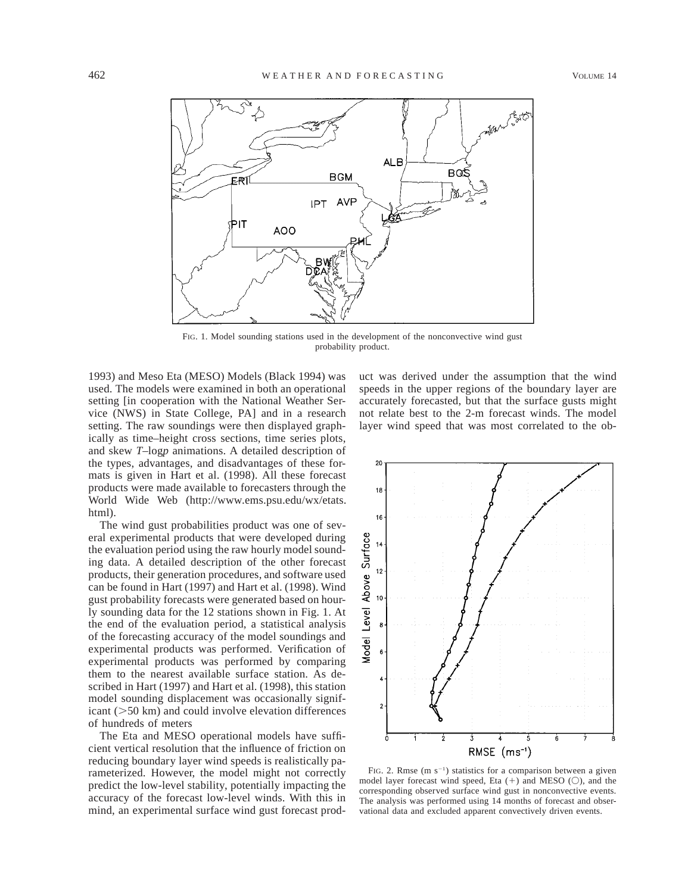

FIG. 1. Model sounding stations used in the development of the nonconvective wind gust probability product.

1993) and Meso Eta (MESO) Models (Black 1994) was used. The models were examined in both an operational setting [in cooperation with the National Weather Service (NWS) in State College, PA] and in a research setting. The raw soundings were then displayed graphically as time–height cross sections, time series plots, and skew *T*–log*p* animations. A detailed description of the types, advantages, and disadvantages of these formats is given in Hart et al. (1998). All these forecast products were made available to forecasters through the World Wide Web (http://www.ems.psu.edu/wx/etats. html).

The wind gust probabilities product was one of several experimental products that were developed during the evaluation period using the raw hourly model sounding data. A detailed description of the other forecast products, their generation procedures, and software used can be found in Hart (1997) and Hart et al. (1998). Wind gust probability forecasts were generated based on hourly sounding data for the 12 stations shown in Fig. 1. At the end of the evaluation period, a statistical analysis of the forecasting accuracy of the model soundings and experimental products was performed. Verification of experimental products was performed by comparing them to the nearest available surface station. As described in Hart (1997) and Hart et al. (1998), this station model sounding displacement was occasionally significant  $(>50 \text{ km})$  and could involve elevation differences of hundreds of meters

The Eta and MESO operational models have sufficient vertical resolution that the influence of friction on reducing boundary layer wind speeds is realistically parameterized. However, the model might not correctly predict the low-level stability, potentially impacting the accuracy of the forecast low-level winds. With this in mind, an experimental surface wind gust forecast product was derived under the assumption that the wind speeds in the upper regions of the boundary layer are accurately forecasted, but that the surface gusts might not relate best to the 2-m forecast winds. The model layer wind speed that was most correlated to the ob-



FIG. 2. Rmse  $(m s^{-1})$  statistics for a comparison between a given model layer forecast wind speed, Eta  $(+)$  and MESO  $($ ), and the corresponding observed surface wind gust in nonconvective events. The analysis was performed using 14 months of forecast and observational data and excluded apparent convectively driven events.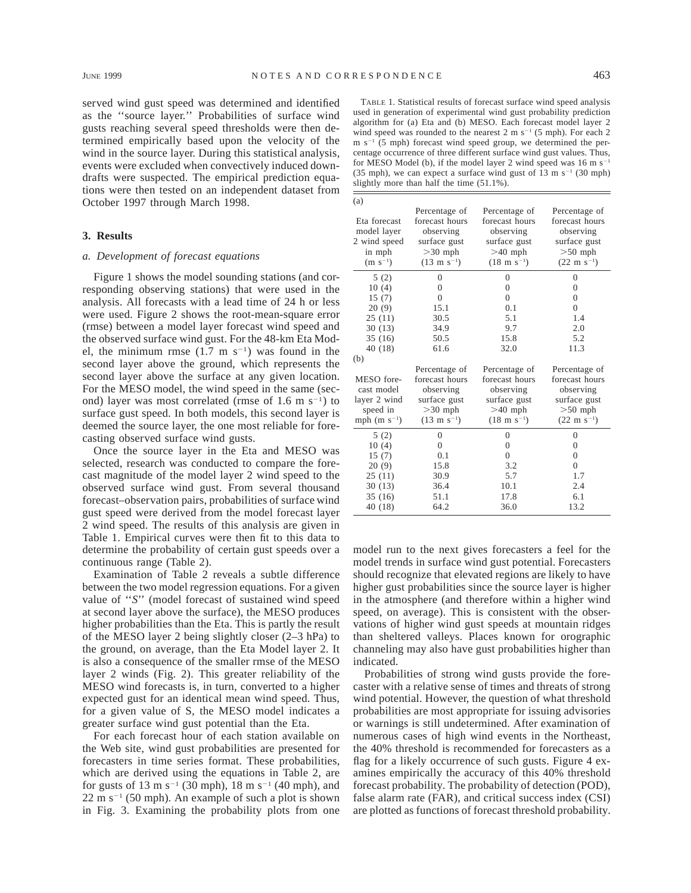served wind gust speed was determined and identified as the ''source layer.'' Probabilities of surface wind gusts reaching several speed thresholds were then determined empirically based upon the velocity of the wind in the source layer. During this statistical analysis, events were excluded when convectively induced downdrafts were suspected. The empirical prediction equations were then tested on an independent dataset from October 1997 through March 1998.

## **3. Results**

## *a. Development of forecast equations*

Figure 1 shows the model sounding stations (and corresponding observing stations) that were used in the analysis. All forecasts with a lead time of 24 h or less were used. Figure 2 shows the root-mean-square error (rmse) between a model layer forecast wind speed and the observed surface wind gust. For the 48-km Eta Model, the minimum rmse  $(1.7 \text{ m s}^{-1})$  was found in the second layer above the ground, which represents the second layer above the surface at any given location. For the MESO model, the wind speed in the same (second) layer was most correlated (rmse of  $1.6 \text{ m s}^{-1}$ ) to surface gust speed. In both models, this second layer is deemed the source layer, the one most reliable for forecasting observed surface wind gusts.

Once the source layer in the Eta and MESO was selected, research was conducted to compare the forecast magnitude of the model layer 2 wind speed to the observed surface wind gust. From several thousand forecast–observation pairs, probabilities of surface wind gust speed were derived from the model forecast layer 2 wind speed. The results of this analysis are given in Table 1. Empirical curves were then fit to this data to determine the probability of certain gust speeds over a continuous range (Table 2).

Examination of Table 2 reveals a subtle difference between the two model regression equations. For a given value of ''*S*'' (model forecast of sustained wind speed at second layer above the surface), the MESO produces higher probabilities than the Eta. This is partly the result of the MESO layer 2 being slightly closer (2–3 hPa) to the ground, on average, than the Eta Model layer 2. It is also a consequence of the smaller rmse of the MESO layer 2 winds (Fig. 2). This greater reliability of the MESO wind forecasts is, in turn, converted to a higher expected gust for an identical mean wind speed. Thus, for a given value of S, the MESO model indicates a greater surface wind gust potential than the Eta.

For each forecast hour of each station available on the Web site, wind gust probabilities are presented for forecasters in time series format. These probabilities, which are derived using the equations in Table 2, are for gusts of 13 m s<sup>-1</sup> (30 mph), 18 m s<sup>-1</sup> (40 mph), and  $22 \text{ m s}^{-1}$  (50 mph). An example of such a plot is shown in Fig. 3. Examining the probability plots from one

| × | I<br>٧ |  |
|---|--------|--|
|   |        |  |
|   |        |  |
|   |        |  |

| (a)                                                                   |                                                                                                      |                                                                                                      |                                                                                                      |
|-----------------------------------------------------------------------|------------------------------------------------------------------------------------------------------|------------------------------------------------------------------------------------------------------|------------------------------------------------------------------------------------------------------|
| Eta forecast<br>model layer<br>2 wind speed<br>in mph<br>$(m s^{-1})$ | Percentage of<br>forecast hours<br>observing<br>surface gust<br>$>30$ mph<br>$(13 \text{ m s}^{-1})$ | Percentage of<br>forecast hours<br>observing<br>surface gust<br>$>40$ mph<br>$(18 \text{ m s}^{-1})$ | Percentage of<br>forecast hours<br>observing<br>surface gust<br>$>50$ mph<br>$(22 \text{ m s}^{-1})$ |
| 5(2)                                                                  | $\overline{0}$                                                                                       | $\overline{0}$                                                                                       | $\overline{0}$                                                                                       |
| 10(4)                                                                 | $\Omega$                                                                                             | $\theta$                                                                                             | $\theta$                                                                                             |
| 15(7)                                                                 | $\Omega$                                                                                             | $\theta$                                                                                             | $\theta$                                                                                             |
| 20(9)                                                                 | 15.1                                                                                                 | 0.1                                                                                                  | $\overline{0}$                                                                                       |
| 25(11)                                                                | 30.5                                                                                                 | 5.1                                                                                                  | 1.4                                                                                                  |
| 30(13)                                                                | 34.9                                                                                                 | 9.7                                                                                                  | 2.0                                                                                                  |
| 35(16)                                                                | 50.5                                                                                                 | 15.8                                                                                                 | 5.2                                                                                                  |
| 40(18)                                                                | 61.6                                                                                                 | 32.0                                                                                                 | 11.3                                                                                                 |
| (b)                                                                   |                                                                                                      |                                                                                                      |                                                                                                      |
|                                                                       | Percentage of                                                                                        | Percentage of                                                                                        | Percentage of                                                                                        |
| MESO fore-                                                            | forecast hours                                                                                       | forecast hours                                                                                       | forecast hours                                                                                       |
| cast model                                                            | observing                                                                                            | observing                                                                                            | observing                                                                                            |
| layer 2 wind                                                          | surface gust                                                                                         | surface gust                                                                                         | surface gust                                                                                         |
| speed in                                                              | $>30$ mph                                                                                            | $>40$ mph                                                                                            | $>50$ mph                                                                                            |
| mph $(m s-1)$                                                         | $(13 \text{ m s}^{-1})$                                                                              | $(18 \text{ m s}^{-1})$                                                                              | $(22 \text{ m s}^{-1})$                                                                              |
| 5(2)                                                                  | $\Omega$                                                                                             | $\theta$                                                                                             | $\theta$                                                                                             |
| 10(4)                                                                 | $\overline{0}$                                                                                       | $\overline{0}$                                                                                       | $\theta$                                                                                             |
| 15(7)                                                                 | 0.1                                                                                                  | $\theta$                                                                                             | $\theta$                                                                                             |
| 20(9)                                                                 | 15.8                                                                                                 | 3.2                                                                                                  | $\theta$                                                                                             |
| 25(11)                                                                | 30.9                                                                                                 | 5.7                                                                                                  | 1.7                                                                                                  |
| 30(13)                                                                | 36.4                                                                                                 | 10.1                                                                                                 | 2.4                                                                                                  |
| 35(16)                                                                | 51.1                                                                                                 | 17.8                                                                                                 | 6.1                                                                                                  |
| 40(18)                                                                | 64.2                                                                                                 | 36.0                                                                                                 | 13.2                                                                                                 |

model run to the next gives forecasters a feel for the model trends in surface wind gust potential. Forecasters should recognize that elevated regions are likely to have higher gust probabilities since the source layer is higher in the atmosphere (and therefore within a higher wind speed, on average). This is consistent with the observations of higher wind gust speeds at mountain ridges than sheltered valleys. Places known for orographic channeling may also have gust probabilities higher than indicated.

Probabilities of strong wind gusts provide the forecaster with a relative sense of times and threats of strong wind potential. However, the question of what threshold probabilities are most appropriate for issuing advisories or warnings is still undetermined. After examination of numerous cases of high wind events in the Northeast, the 40% threshold is recommended for forecasters as a flag for a likely occurrence of such gusts. Figure 4 examines empirically the accuracy of this 40% threshold forecast probability. The probability of detection (POD), false alarm rate (FAR), and critical success index (CSI) are plotted as functions of forecast threshold probability.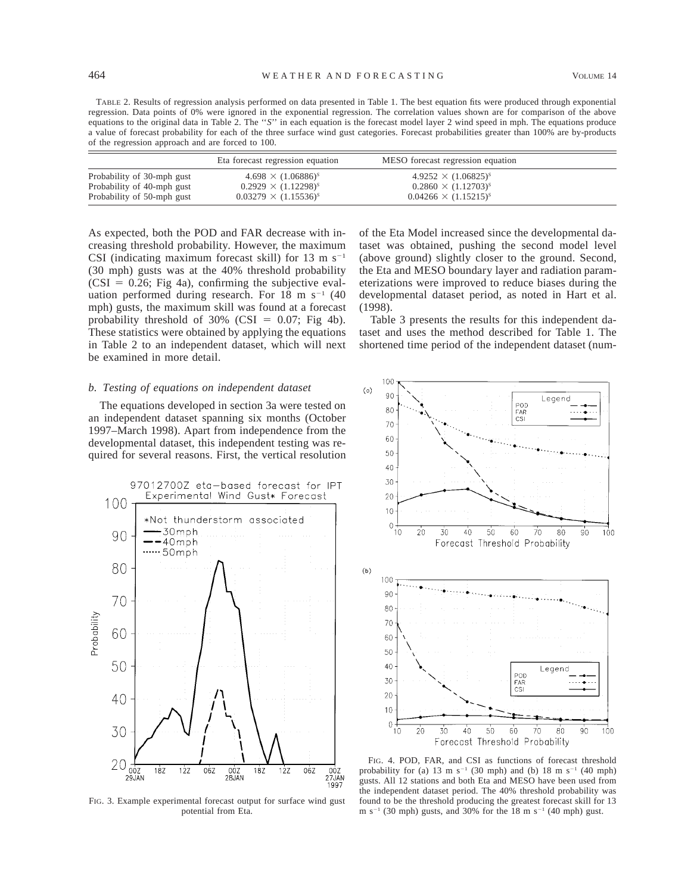TABLE 2. Results of regression analysis performed on data presented in Table 1. The best equation fits were produced through exponential regression. Data points of 0% were ignored in the exponential regression. The correlation values shown are for comparison of the above equations to the original data in Table 2. The ''*S*'' in each equation is the forecast model layer 2 wind speed in mph. The equations produce a value of forecast probability for each of the three surface wind gust categories. Forecast probabilities greater than 100% are by-products of the regression approach and are forced to 100.

|                            | Eta forecast regression equation | MESO forecast regression equation |  |
|----------------------------|----------------------------------|-----------------------------------|--|
| Probability of 30-mph gust | $4.698 \times (1.06886)^s$       | $4.9252 \times (1.06825)^s$       |  |
| Probability of 40-mph gust | $0.2929 \times (1.12298)^s$      | $0.2860 \times (1.12703)^s$       |  |
| Probability of 50-mph gust | $0.03279 \times (1.15536)^s$     | $0.04266 \times (1.15215)^s$      |  |

As expected, both the POD and FAR decrease with increasing threshold probability. However, the maximum CSI (indicating maximum forecast skill) for 13 m  $s^{-1}$ (30 mph) gusts was at the 40% threshold probability  $(CSI = 0.26; Fig 4a)$ , confirming the subjective evaluation performed during research. For 18 m  $s^{-1}$  (40 mph) gusts, the maximum skill was found at a forecast probability threshold of 30% (CSI =  $0.07$ ; Fig 4b). These statistics were obtained by applying the equations in Table 2 to an independent dataset, which will next be examined in more detail.

## *b. Testing of equations on independent dataset*

The equations developed in section 3a were tested on an independent dataset spanning six months (October 1997–March 1998). Apart from independence from the developmental dataset, this independent testing was required for several reasons. First, the vertical resolution



FIG. 3. Example experimental forecast output for surface wind gust potential from Eta.

of the Eta Model increased since the developmental dataset was obtained, pushing the second model level (above ground) slightly closer to the ground. Second, the Eta and MESO boundary layer and radiation parameterizations were improved to reduce biases during the developmental dataset period, as noted in Hart et al. (1998).

Table 3 presents the results for this independent dataset and uses the method described for Table 1. The shortened time period of the independent dataset (num-



FIG. 4. POD, FAR, and CSI as functions of forecast threshold probability for (a) 13 m s<sup>-1</sup> (30 mph) and (b) 18 m s<sup>-1</sup> (40 mph) gusts. All 12 stations and both Eta and MESO have been used from the independent dataset period. The 40% threshold probability was found to be the threshold producing the greatest forecast skill for 13 m  $s^{-1}$  (30 mph) gusts, and 30% for the 18 m  $s^{-1}$  (40 mph) gust.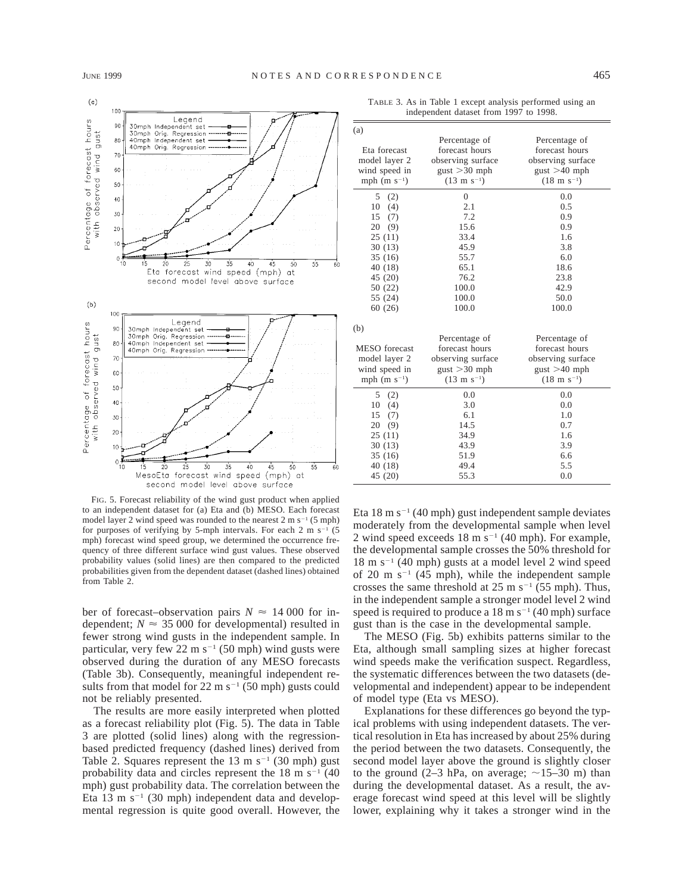

| (a)                  |                         |                         |
|----------------------|-------------------------|-------------------------|
|                      | Percentage of           | Percentage of           |
| Eta forecast         | forecast hours          | forecast hours          |
| model layer 2        | observing surface       | observing surface       |
| wind speed in        | $gust > 30$ mph         | $gust > 40$ mph         |
| mph $(m s^{-1})$     | $(13 \text{ m s}^{-1})$ | $(18 \text{ m s}^{-1})$ |
| 5<br>(2)             | $\overline{0}$          | 0.0                     |
| 10<br>(4)            | 2.1                     | 0.5                     |
| 15<br>(7)            | 7.2                     | 0.9                     |
| 20<br>(9)            | 15.6                    | 0.9                     |
| 25(11)               | 33.4                    | 1.6                     |
| 30(13)               | 45.9                    | 3.8                     |
| 35(16)               | 55.7                    | 6.0                     |
| 40 (18)              | 65.1                    | 18.6                    |
| 45 (20)              | 76.2                    | 23.8                    |
| 50 (22)              | 100.0                   | 42.9                    |
| 55 (24)              | 100.0                   | 50.0                    |
| 60(26)               | 100.0                   | 100.0                   |
| (b)                  |                         |                         |
|                      | Percentage of           | Percentage of           |
| <b>MESO</b> forecast | forecast hours          | forecast hours          |
| model layer 2        | observing surface       | observing surface       |
| wind speed in        | $gust > 30$ mph         | $gust > 40$ mph         |
| mph $(m s^{-1})$     | $(13 \text{ m s}^{-1})$ | $(18 \text{ m s}^{-1})$ |
| 5<br>(2)             | 0.0                     | 0.0                     |
| 10<br>(4)            | 3.0                     | 0.0                     |
| (7)<br>15            | 6.1                     | 1.0                     |
| 20<br>(9)            | 14.5                    | 0.7                     |
| 25(11)               | 34.9                    | 1.6                     |
| 30(13)               | 43.9                    | 3.9                     |
| 35 (16)              | 51.9                    | 6.6                     |
| 40 (18)              | 49.4                    | 5.5                     |
| 45 (20)              | 55.3                    | 0.0                     |

TABLE 3. As in Table 1 except analysis performed using an independent dataset from 1997 to 1998.

FIG. 5. Forecast reliability of the wind gust product when applied to an independent dataset for (a) Eta and (b) MESO. Each forecast model layer 2 wind speed was rounded to the nearest  $2 \text{ m s}^{-1}$  (5 mph) for purposes of verifying by 5-mph intervals. For each 2 m s<sup>-1</sup> (5) mph) forecast wind speed group, we determined the occurrence frequency of three different surface wind gust values. These observed probability values (solid lines) are then compared to the predicted probabilities given from the dependent dataset (dashed lines) obtained from Table 2.

ber of forecast–observation pairs  $N \approx 14000$  for independent;  $N \approx 35,000$  for developmental) resulted in fewer strong wind gusts in the independent sample. In particular, very few 22 m  $s^{-1}$  (50 mph) wind gusts were observed during the duration of any MESO forecasts (Table 3b). Consequently, meaningful independent results from that model for 22 m  $s^{-1}$  (50 mph) gusts could not be reliably presented.

The results are more easily interpreted when plotted as a forecast reliability plot (Fig. 5). The data in Table 3 are plotted (solid lines) along with the regressionbased predicted frequency (dashed lines) derived from Table 2. Squares represent the 13 m  $s^{-1}$  (30 mph) gust probability data and circles represent the  $18 \text{ m s}^{-1}$  (40) mph) gust probability data. The correlation between the Eta 13 m s<sup> $-1$ </sup> (30 mph) independent data and developmental regression is quite good overall. However, the Eta 18 m s<sup>-1</sup> (40 mph) gust independent sample deviates moderately from the developmental sample when level 2 wind speed exceeds  $18 \text{ m s}^{-1}$  (40 mph). For example, the developmental sample crosses the 50% threshold for  $18 \text{ m s}^{-1}$  (40 mph) gusts at a model level 2 wind speed of 20 m  $s^{-1}$  (45 mph), while the independent sample crosses the same threshold at  $25 \text{ m s}^{-1}$  (55 mph). Thus, in the independent sample a stronger model level 2 wind speed is required to produce a  $18 \text{ m s}^{-1}$  (40 mph) surface gust than is the case in the developmental sample.

The MESO (Fig. 5b) exhibits patterns similar to the Eta, although small sampling sizes at higher forecast wind speeds make the verification suspect. Regardless, the systematic differences between the two datasets (developmental and independent) appear to be independent of model type (Eta vs MESO).

Explanations for these differences go beyond the typical problems with using independent datasets. The vertical resolution in Eta has increased by about 25% during the period between the two datasets. Consequently, the second model layer above the ground is slightly closer to the ground (2–3 hPa, on average;  $\sim$ 15–30 m) than during the developmental dataset. As a result, the average forecast wind speed at this level will be slightly lower, explaining why it takes a stronger wind in the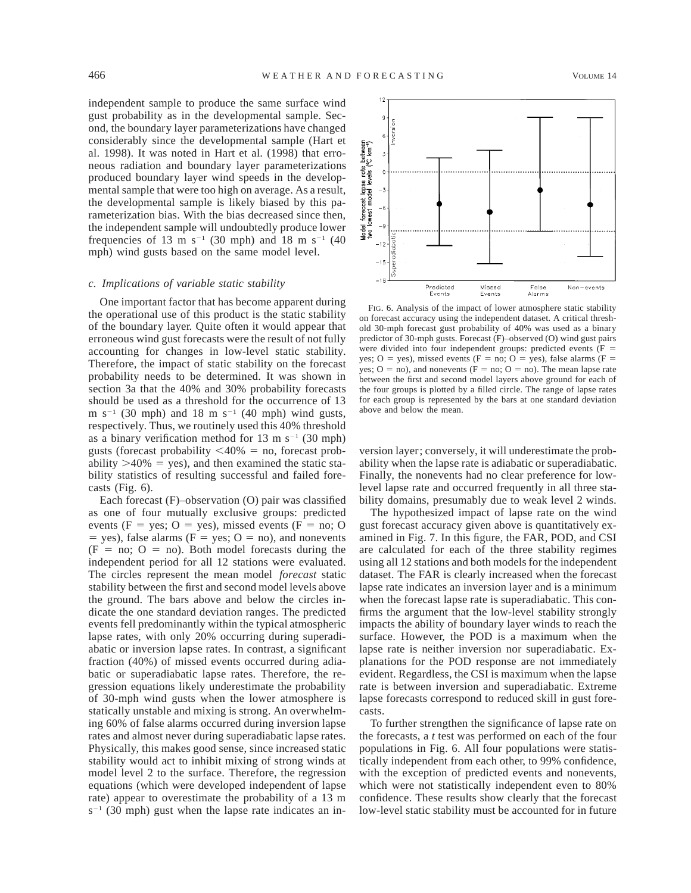independent sample to produce the same surface wind gust probability as in the developmental sample. Second, the boundary layer parameterizations have changed considerably since the developmental sample (Hart et al. 1998). It was noted in Hart et al. (1998) that erroneous radiation and boundary layer parameterizations produced boundary layer wind speeds in the developmental sample that were too high on average. As a result, the developmental sample is likely biased by this parameterization bias. With the bias decreased since then, the independent sample will undoubtedly produce lower frequencies of 13 m s<sup>-1</sup> (30 mph) and 18 m s<sup>-1</sup> (40 mph) wind gusts based on the same model level.

#### *c. Implications of variable static stability*

One important factor that has become apparent during the operational use of this product is the static stability of the boundary layer. Quite often it would appear that erroneous wind gust forecasts were the result of not fully accounting for changes in low-level static stability. Therefore, the impact of static stability on the forecast probability needs to be determined. It was shown in section 3a that the 40% and 30% probability forecasts should be used as a threshold for the occurrence of 13 m  $s^{-1}$  (30 mph) and 18 m  $s^{-1}$  (40 mph) wind gusts, respectively. Thus, we routinely used this 40% threshold as a binary verification method for 13 m s<sup>-1</sup> (30 mph) gusts (forecast probability  $\langle 40\% =$  no, forecast probability  $>40\%$  = yes), and then examined the static stability statistics of resulting successful and failed forecasts (Fig. 6).

Each forecast (F)–observation (O) pair was classified as one of four mutually exclusive groups: predicted events (F = yes; O = yes), missed events (F = no; O  $=$  yes), false alarms (F = yes; O = no), and nonevents  $(F = no; O = no)$ . Both model forecasts during the independent period for all 12 stations were evaluated. The circles represent the mean model *forecast* static stability between the first and second model levels above the ground. The bars above and below the circles indicate the one standard deviation ranges. The predicted events fell predominantly within the typical atmospheric lapse rates, with only 20% occurring during superadiabatic or inversion lapse rates. In contrast, a significant fraction (40%) of missed events occurred during adiabatic or superadiabatic lapse rates. Therefore, the regression equations likely underestimate the probability of 30-mph wind gusts when the lower atmosphere is statically unstable and mixing is strong. An overwhelming 60% of false alarms occurred during inversion lapse rates and almost never during superadiabatic lapse rates. Physically, this makes good sense, since increased static stability would act to inhibit mixing of strong winds at model level 2 to the surface. Therefore, the regression equations (which were developed independent of lapse rate) appear to overestimate the probability of a 13 m  $s^{-1}$  (30 mph) gust when the lapse rate indicates an in-



FIG. 6. Analysis of the impact of lower atmosphere static stability on forecast accuracy using the independent dataset. A critical threshold 30-mph forecast gust probability of 40% was used as a binary predictor of 30-mph gusts. Forecast (F)–observed (O) wind gust pairs were divided into four independent groups: predicted events  $(F =$ yes; O = yes), missed events (F = no; O = yes), false alarms (F = yes;  $O = no$ ), and nonevents ( $F = no$ ;  $O = no$ ). The mean lapse rate between the first and second model layers above ground for each of the four groups is plotted by a filled circle. The range of lapse rates for each group is represented by the bars at one standard deviation above and below the mean.

version layer; conversely, it will underestimate the probability when the lapse rate is adiabatic or superadiabatic. Finally, the nonevents had no clear preference for lowlevel lapse rate and occurred frequently in all three stability domains, presumably due to weak level 2 winds.

The hypothesized impact of lapse rate on the wind gust forecast accuracy given above is quantitatively examined in Fig. 7. In this figure, the FAR, POD, and CSI are calculated for each of the three stability regimes using all 12 stations and both models for the independent dataset. The FAR is clearly increased when the forecast lapse rate indicates an inversion layer and is a minimum when the forecast lapse rate is superadiabatic. This confirms the argument that the low-level stability strongly impacts the ability of boundary layer winds to reach the surface. However, the POD is a maximum when the lapse rate is neither inversion nor superadiabatic. Explanations for the POD response are not immediately evident. Regardless, the CSI is maximum when the lapse rate is between inversion and superadiabatic. Extreme lapse forecasts correspond to reduced skill in gust forecasts.

To further strengthen the significance of lapse rate on the forecasts, a *t* test was performed on each of the four populations in Fig. 6. All four populations were statistically independent from each other, to 99% confidence, with the exception of predicted events and nonevents, which were not statistically independent even to 80% confidence. These results show clearly that the forecast low-level static stability must be accounted for in future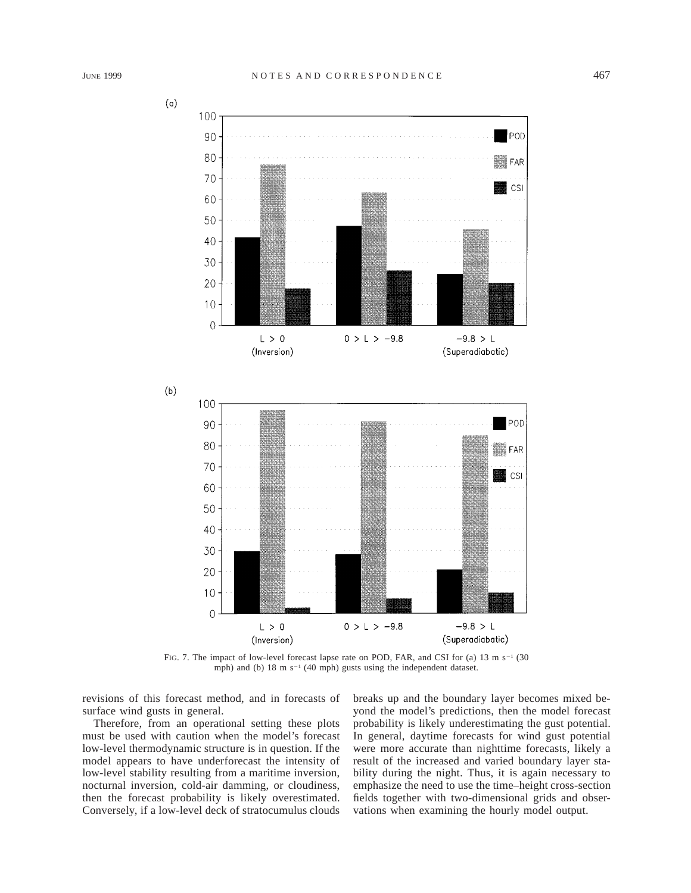

FIG. 7. The impact of low-level forecast lapse rate on POD, FAR, and CSI for (a) 13 m s<sup>-1</sup> (30) mph) and (b)  $18 \text{ m s}^{-1}$  (40 mph) gusts using the independent dataset.

revisions of this forecast method, and in forecasts of surface wind gusts in general.

Therefore, from an operational setting these plots must be used with caution when the model's forecast low-level thermodynamic structure is in question. If the model appears to have underforecast the intensity of low-level stability resulting from a maritime inversion, nocturnal inversion, cold-air damming, or cloudiness, then the forecast probability is likely overestimated. Conversely, if a low-level deck of stratocumulus clouds breaks up and the boundary layer becomes mixed beyond the model's predictions, then the model forecast probability is likely underestimating the gust potential. In general, daytime forecasts for wind gust potential were more accurate than nighttime forecasts, likely a result of the increased and varied boundary layer stability during the night. Thus, it is again necessary to emphasize the need to use the time–height cross-section fields together with two-dimensional grids and observations when examining the hourly model output.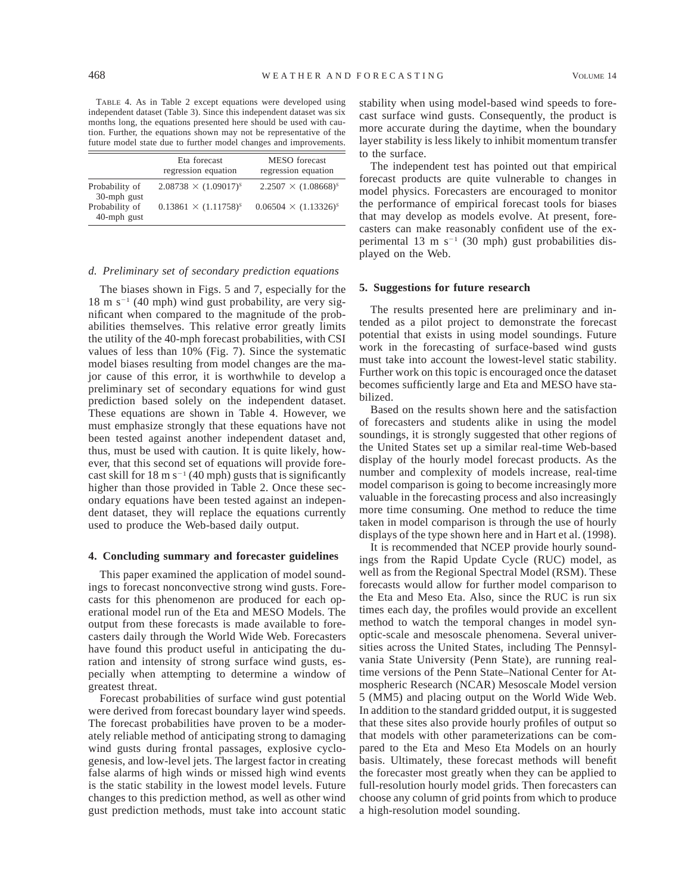TABLE 4. As in Table 2 except equations were developed using independent dataset (Table 3). Since this independent dataset was six months long, the equations presented here should be used with caution. Further, the equations shown may not be representative of the future model state due to further model changes and improvements.

|                               | Eta forecast<br>regression equation | MESO forecast<br>regression equation |
|-------------------------------|-------------------------------------|--------------------------------------|
| Probability of<br>30-mph gust | $2.08738 \times (1.09017)^s$        | $2.2507 \times (1.08668)^s$          |
| Probability of<br>40-mph gust | $0.13861 \times (1.11758)^s$        | $0.06504 \times (1.13326)^s$         |

## *d. Preliminary set of secondary prediction equations*

The biases shown in Figs. 5 and 7, especially for the  $18 \text{ m s}^{-1}$  (40 mph) wind gust probability, are very significant when compared to the magnitude of the probabilities themselves. This relative error greatly limits the utility of the 40-mph forecast probabilities, with CSI values of less than 10% (Fig. 7). Since the systematic model biases resulting from model changes are the major cause of this error, it is worthwhile to develop a preliminary set of secondary equations for wind gust prediction based solely on the independent dataset. These equations are shown in Table 4. However, we must emphasize strongly that these equations have not been tested against another independent dataset and, thus, must be used with caution. It is quite likely, however, that this second set of equations will provide forecast skill for 18 m  $s^{-1}$  (40 mph) gusts that is significantly higher than those provided in Table 2. Once these secondary equations have been tested against an independent dataset, they will replace the equations currently used to produce the Web-based daily output.

#### **4. Concluding summary and forecaster guidelines**

This paper examined the application of model soundings to forecast nonconvective strong wind gusts. Forecasts for this phenomenon are produced for each operational model run of the Eta and MESO Models. The output from these forecasts is made available to forecasters daily through the World Wide Web. Forecasters have found this product useful in anticipating the duration and intensity of strong surface wind gusts, especially when attempting to determine a window of greatest threat.

Forecast probabilities of surface wind gust potential were derived from forecast boundary layer wind speeds. The forecast probabilities have proven to be a moderately reliable method of anticipating strong to damaging wind gusts during frontal passages, explosive cyclogenesis, and low-level jets. The largest factor in creating false alarms of high winds or missed high wind events is the static stability in the lowest model levels. Future changes to this prediction method, as well as other wind gust prediction methods, must take into account static

stability when using model-based wind speeds to forecast surface wind gusts. Consequently, the product is more accurate during the daytime, when the boundary layer stability is less likely to inhibit momentum transfer to the surface.

The independent test has pointed out that empirical forecast products are quite vulnerable to changes in model physics. Forecasters are encouraged to monitor the performance of empirical forecast tools for biases that may develop as models evolve. At present, forecasters can make reasonably confident use of the experimental 13 m  $s^{-1}$  (30 mph) gust probabilities displayed on the Web.

#### **5. Suggestions for future research**

The results presented here are preliminary and intended as a pilot project to demonstrate the forecast potential that exists in using model soundings. Future work in the forecasting of surface-based wind gusts must take into account the lowest-level static stability. Further work on this topic is encouraged once the dataset becomes sufficiently large and Eta and MESO have stabilized.

Based on the results shown here and the satisfaction of forecasters and students alike in using the model soundings, it is strongly suggested that other regions of the United States set up a similar real-time Web-based display of the hourly model forecast products. As the number and complexity of models increase, real-time model comparison is going to become increasingly more valuable in the forecasting process and also increasingly more time consuming. One method to reduce the time taken in model comparison is through the use of hourly displays of the type shown here and in Hart et al. (1998).

It is recommended that NCEP provide hourly soundings from the Rapid Update Cycle (RUC) model, as well as from the Regional Spectral Model (RSM). These forecasts would allow for further model comparison to the Eta and Meso Eta. Also, since the RUC is run six times each day, the profiles would provide an excellent method to watch the temporal changes in model synoptic-scale and mesoscale phenomena. Several universities across the United States, including The Pennsylvania State University (Penn State), are running realtime versions of the Penn State–National Center for Atmospheric Research (NCAR) Mesoscale Model version 5 (MM5) and placing output on the World Wide Web. In addition to the standard gridded output, it is suggested that these sites also provide hourly profiles of output so that models with other parameterizations can be compared to the Eta and Meso Eta Models on an hourly basis. Ultimately, these forecast methods will benefit the forecaster most greatly when they can be applied to full-resolution hourly model grids. Then forecasters can choose any column of grid points from which to produce a high-resolution model sounding.